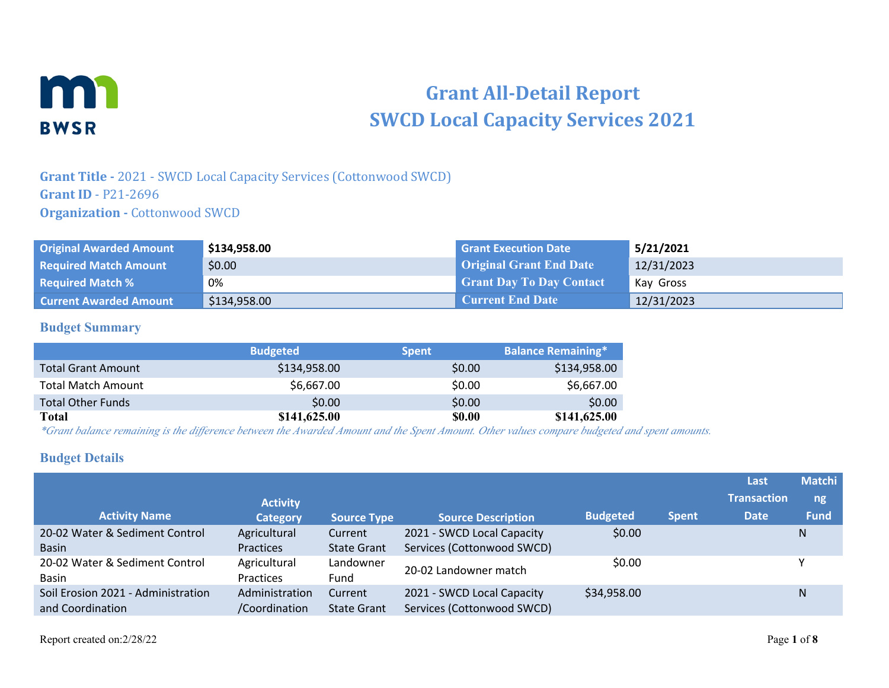

# **Grant All-Detail Report SWCD Local Capacity Services 2021**

## **Grant Title -** 2021 - SWCD Local Capacity Services (Cottonwood SWCD) **Grant ID** - P21-2696 **Organization - Cottonwood SWCD**

| <b>Original Awarded Amount</b> | \$134,958.00 | <b>Grant Execution Date</b>     | 5/21/2021  |
|--------------------------------|--------------|---------------------------------|------------|
| <b>Required Match Amount</b>   | \$0.00       | <b>Original Grant End Date</b>  | 12/31/2023 |
| <b>Required Match %</b>        | 0%           | <b>Grant Day To Day Contact</b> | Kay Gross  |
| <b>Current Awarded Amount</b>  | \$134,958.00 | <b>Current End Date</b>         | 12/31/2023 |

#### **Budget Summary**

|                           | <b>Budgeted</b> | <b>Spent</b>  | <b>Balance Remaining*</b> |
|---------------------------|-----------------|---------------|---------------------------|
| <b>Total Grant Amount</b> | \$134,958.00    | \$0.00        | \$134,958.00              |
| <b>Total Match Amount</b> | \$6,667.00      | \$0.00        | \$6,667.00                |
| <b>Total Other Funds</b>  | \$0.00          | \$0.00        | \$0.00                    |
| Total                     | \$141,625.00    | <b>\$0.00</b> | \$141,625.00              |

*\*Grant balance remaining is the difference between the Awarded Amount and the Spent Amount. Other values compare budgeted and spent amounts.*

#### **Budget Details**

|                                    |                  |                    |                            |                 |              | Last               | <b>Matchi</b> |
|------------------------------------|------------------|--------------------|----------------------------|-----------------|--------------|--------------------|---------------|
|                                    | <b>Activity</b>  |                    |                            |                 |              | <b>Transaction</b> | ng            |
| <b>Activity Name</b>               | <b>Category</b>  | <b>Source Type</b> | <b>Source Description</b>  | <b>Budgeted</b> | <b>Spent</b> | <b>Date</b>        | <b>Fund</b>   |
| 20-02 Water & Sediment Control     | Agricultural     | Current            | 2021 - SWCD Local Capacity | \$0.00          |              |                    | N             |
| <b>Basin</b>                       | Practices        | <b>State Grant</b> | Services (Cottonwood SWCD) |                 |              |                    |               |
| 20-02 Water & Sediment Control     | Agricultural     | Landowner          | 20-02 Landowner match      | \$0.00          |              |                    |               |
| <b>Basin</b>                       | <b>Practices</b> | Fund               |                            |                 |              |                    |               |
| Soil Erosion 2021 - Administration | Administration   | Current            | 2021 - SWCD Local Capacity | \$34,958.00     |              |                    | N             |
| and Coordination                   | /Coordination    | <b>State Grant</b> | Services (Cottonwood SWCD) |                 |              |                    |               |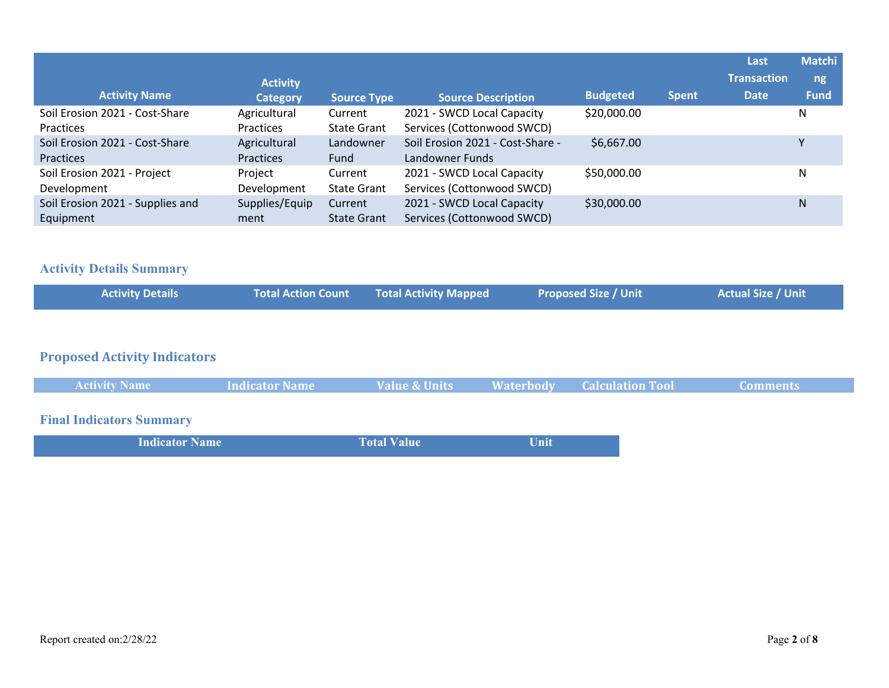| <b>Activity Name</b>                          | <b>Activity</b><br><b>Category</b> | <b>Source Type</b>            | <b>Source Description</b>                                | <b>Budgeted</b> | <b>Spent</b> | Last<br><b>Transaction</b><br><b>Date</b> | <b>Matchi</b><br>ng<br><b>Fund</b> |
|-----------------------------------------------|------------------------------------|-------------------------------|----------------------------------------------------------|-----------------|--------------|-------------------------------------------|------------------------------------|
| Soil Erosion 2021 - Cost-Share<br>Practices   | Agricultural<br><b>Practices</b>   | Current<br><b>State Grant</b> | 2021 - SWCD Local Capacity<br>Services (Cottonwood SWCD) | \$20,000.00     |              |                                           | N                                  |
| Soil Erosion 2021 - Cost-Share<br>Practices   | Agricultural<br><b>Practices</b>   | Landowner<br>Fund             | Soil Erosion 2021 - Cost-Share -<br>Landowner Funds      | \$6,667.00      |              |                                           |                                    |
| Soil Erosion 2021 - Project<br>Development    | Project<br>Development             | Current<br><b>State Grant</b> | 2021 - SWCD Local Capacity<br>Services (Cottonwood SWCD) | \$50,000.00     |              |                                           | N                                  |
| Soil Erosion 2021 - Supplies and<br>Equipment | Supplies/Equip<br>ment             | Current<br><b>State Grant</b> | 2021 - SWCD Local Capacity<br>Services (Cottonwood SWCD) | \$30,000.00     |              |                                           | N                                  |

# **Activity Details Summary**

| <b>Activity Details</b> | <b>Total Action Count Fotal Activity Mapped</b> | <b>Proposed Size / Unit</b> | <b>Actual Size / Unit</b> |
|-------------------------|-------------------------------------------------|-----------------------------|---------------------------|
|                         |                                                 |                             |                           |

#### **Proposed Activity Indicators**

| <b>Activity Name</b> | Indicator Name | <b>Value &amp; Units</b> | <b>Waterbody</b> | <b>Calculation Tool</b> | Comments |
|----------------------|----------------|--------------------------|------------------|-------------------------|----------|
|                      |                |                          |                  |                         |          |

# **Final Indicators Summary**

| <b>Indicator Name</b> | <b>Total Value</b> | Unit |
|-----------------------|--------------------|------|
|                       |                    |      |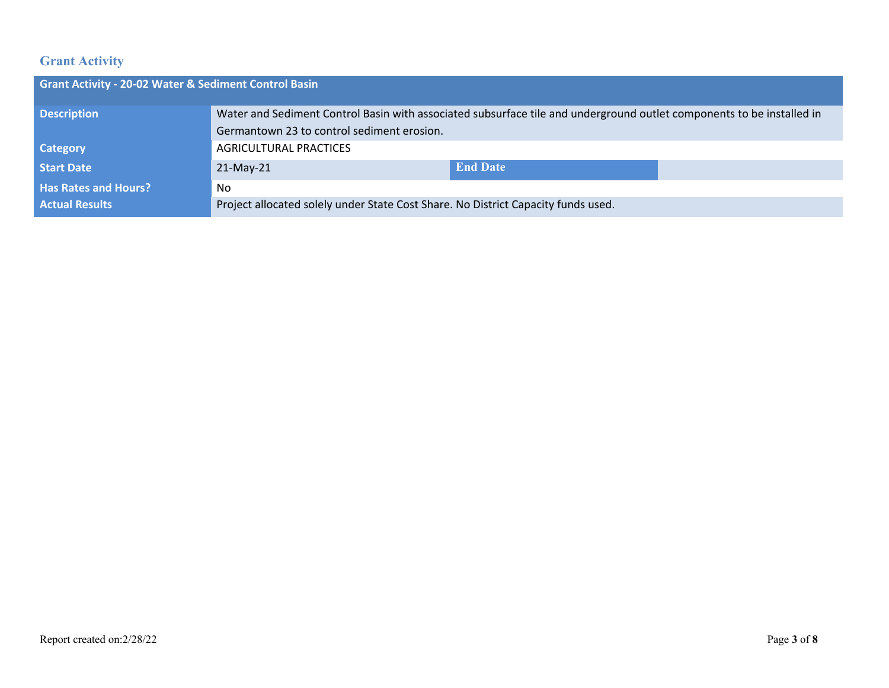# **Grant Activity**

| <b>Grant Activity - 20-02 Water &amp; Sediment Control Basin</b> |                                                                                                                       |                 |  |  |  |
|------------------------------------------------------------------|-----------------------------------------------------------------------------------------------------------------------|-----------------|--|--|--|
| <b>Description</b>                                               | Water and Sediment Control Basin with associated subsurface tile and underground outlet components to be installed in |                 |  |  |  |
|                                                                  | Germantown 23 to control sediment erosion.                                                                            |                 |  |  |  |
| <b>Category</b>                                                  | <b>AGRICULTURAL PRACTICES</b>                                                                                         |                 |  |  |  |
| <b>Start Date</b>                                                | $21-May-21$                                                                                                           | <b>End Date</b> |  |  |  |
| <b>Has Rates and Hours?</b>                                      | No                                                                                                                    |                 |  |  |  |
| <b>Actual Results</b>                                            | Project allocated solely under State Cost Share. No District Capacity funds used.                                     |                 |  |  |  |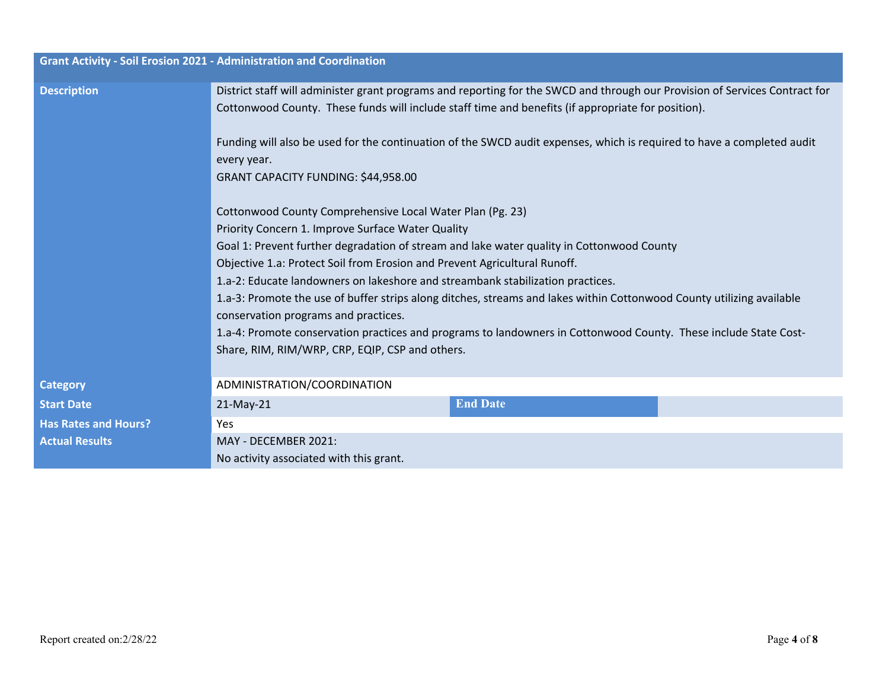|                             | <b>Grant Activity - Soil Erosion 2021 - Administration and Coordination</b>                                                                                                                                                                                                                                                                                                                                               |                                                                                                                                                                                                                                                                                                                                                             |  |  |  |
|-----------------------------|---------------------------------------------------------------------------------------------------------------------------------------------------------------------------------------------------------------------------------------------------------------------------------------------------------------------------------------------------------------------------------------------------------------------------|-------------------------------------------------------------------------------------------------------------------------------------------------------------------------------------------------------------------------------------------------------------------------------------------------------------------------------------------------------------|--|--|--|
| <b>Description</b>          |                                                                                                                                                                                                                                                                                                                                                                                                                           | District staff will administer grant programs and reporting for the SWCD and through our Provision of Services Contract for<br>Cottonwood County. These funds will include staff time and benefits (if appropriate for position).<br>Funding will also be used for the continuation of the SWCD audit expenses, which is required to have a completed audit |  |  |  |
|                             | every year.<br>GRANT CAPACITY FUNDING: \$44,958.00                                                                                                                                                                                                                                                                                                                                                                        |                                                                                                                                                                                                                                                                                                                                                             |  |  |  |
|                             | Cottonwood County Comprehensive Local Water Plan (Pg. 23)<br>Priority Concern 1. Improve Surface Water Quality                                                                                                                                                                                                                                                                                                            |                                                                                                                                                                                                                                                                                                                                                             |  |  |  |
|                             | Goal 1: Prevent further degradation of stream and lake water quality in Cottonwood County<br>Objective 1.a: Protect Soil from Erosion and Prevent Agricultural Runoff.<br>1.a-2: Educate landowners on lakeshore and streambank stabilization practices.<br>1.a-3: Promote the use of buffer strips along ditches, streams and lakes within Cottonwood County utilizing available<br>conservation programs and practices. |                                                                                                                                                                                                                                                                                                                                                             |  |  |  |
|                             |                                                                                                                                                                                                                                                                                                                                                                                                                           |                                                                                                                                                                                                                                                                                                                                                             |  |  |  |
|                             |                                                                                                                                                                                                                                                                                                                                                                                                                           |                                                                                                                                                                                                                                                                                                                                                             |  |  |  |
|                             | 1.a-4: Promote conservation practices and programs to landowners in Cottonwood County. These include State Cost-<br>Share, RIM, RIM/WRP, CRP, EQIP, CSP and others.                                                                                                                                                                                                                                                       |                                                                                                                                                                                                                                                                                                                                                             |  |  |  |
| <b>Category</b>             | ADMINISTRATION/COORDINATION                                                                                                                                                                                                                                                                                                                                                                                               |                                                                                                                                                                                                                                                                                                                                                             |  |  |  |
| <b>Start Date</b>           | $21$ -May-21                                                                                                                                                                                                                                                                                                                                                                                                              | <b>End Date</b>                                                                                                                                                                                                                                                                                                                                             |  |  |  |
| <b>Has Rates and Hours?</b> | Yes                                                                                                                                                                                                                                                                                                                                                                                                                       |                                                                                                                                                                                                                                                                                                                                                             |  |  |  |
| <b>Actual Results</b>       | MAY - DECEMBER 2021:<br>No activity associated with this grant.                                                                                                                                                                                                                                                                                                                                                           |                                                                                                                                                                                                                                                                                                                                                             |  |  |  |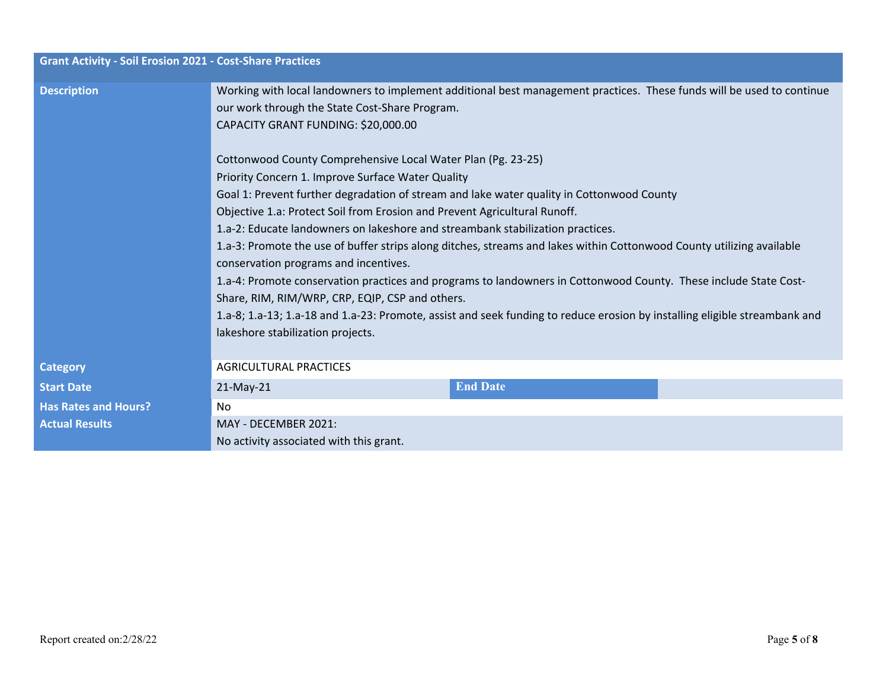| <b>Grant Activity - Soil Erosion 2021 - Cost-Share Practices</b> |                                                                                                                                                                                                                |  |  |  |  |
|------------------------------------------------------------------|----------------------------------------------------------------------------------------------------------------------------------------------------------------------------------------------------------------|--|--|--|--|
| <b>Description</b>                                               | Working with local landowners to implement additional best management practices. These funds will be used to continue<br>our work through the State Cost-Share Program.<br>CAPACITY GRANT FUNDING: \$20,000.00 |  |  |  |  |
|                                                                  | Cottonwood County Comprehensive Local Water Plan (Pg. 23-25)                                                                                                                                                   |  |  |  |  |
|                                                                  | Priority Concern 1. Improve Surface Water Quality                                                                                                                                                              |  |  |  |  |
|                                                                  | Goal 1: Prevent further degradation of stream and lake water quality in Cottonwood County                                                                                                                      |  |  |  |  |
|                                                                  | Objective 1.a: Protect Soil from Erosion and Prevent Agricultural Runoff.                                                                                                                                      |  |  |  |  |
|                                                                  | 1.a-2: Educate landowners on lakeshore and streambank stabilization practices.                                                                                                                                 |  |  |  |  |
|                                                                  | 1.a-3: Promote the use of buffer strips along ditches, streams and lakes within Cottonwood County utilizing available<br>conservation programs and incentives.                                                 |  |  |  |  |
|                                                                  | 1.a-4: Promote conservation practices and programs to landowners in Cottonwood County. These include State Cost-<br>Share, RIM, RIM/WRP, CRP, EQIP, CSP and others.                                            |  |  |  |  |
|                                                                  | 1.a-8; 1.a-13; 1.a-18 and 1.a-23: Promote, assist and seek funding to reduce erosion by installing eligible streambank and<br>lakeshore stabilization projects.                                                |  |  |  |  |
| <b>Category</b>                                                  | <b>AGRICULTURAL PRACTICES</b>                                                                                                                                                                                  |  |  |  |  |
| <b>Start Date</b>                                                | <b>End Date</b><br>21-May-21                                                                                                                                                                                   |  |  |  |  |
| <b>Has Rates and Hours?</b>                                      | No.                                                                                                                                                                                                            |  |  |  |  |
| <b>Actual Results</b>                                            | MAY - DECEMBER 2021:                                                                                                                                                                                           |  |  |  |  |
|                                                                  | No activity associated with this grant.                                                                                                                                                                        |  |  |  |  |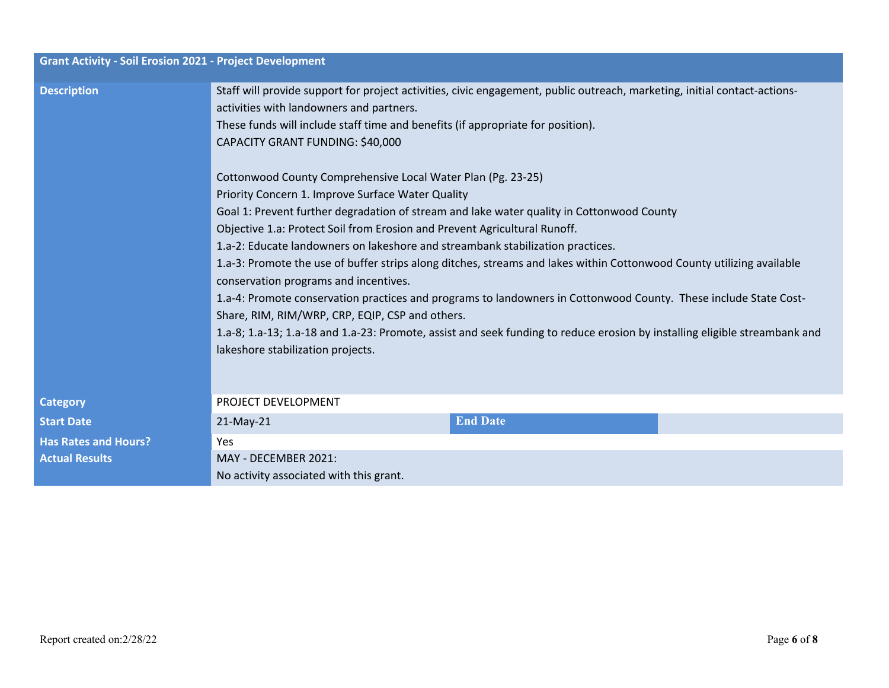| <b>Grant Activity - Soil Erosion 2021 - Project Development</b> |                                                                                                                            |  |  |  |  |
|-----------------------------------------------------------------|----------------------------------------------------------------------------------------------------------------------------|--|--|--|--|
| <b>Description</b>                                              | Staff will provide support for project activities, civic engagement, public outreach, marketing, initial contact-actions-  |  |  |  |  |
|                                                                 | activities with landowners and partners.                                                                                   |  |  |  |  |
|                                                                 | These funds will include staff time and benefits (if appropriate for position).                                            |  |  |  |  |
|                                                                 | CAPACITY GRANT FUNDING: \$40,000                                                                                           |  |  |  |  |
|                                                                 | Cottonwood County Comprehensive Local Water Plan (Pg. 23-25)                                                               |  |  |  |  |
|                                                                 | Priority Concern 1. Improve Surface Water Quality                                                                          |  |  |  |  |
|                                                                 | Goal 1: Prevent further degradation of stream and lake water quality in Cottonwood County                                  |  |  |  |  |
|                                                                 | Objective 1.a: Protect Soil from Erosion and Prevent Agricultural Runoff.                                                  |  |  |  |  |
|                                                                 | 1.a-2: Educate landowners on lakeshore and streambank stabilization practices.                                             |  |  |  |  |
|                                                                 | 1.a-3: Promote the use of buffer strips along ditches, streams and lakes within Cottonwood County utilizing available      |  |  |  |  |
|                                                                 | conservation programs and incentives.                                                                                      |  |  |  |  |
|                                                                 | 1.a-4: Promote conservation practices and programs to landowners in Cottonwood County. These include State Cost-           |  |  |  |  |
|                                                                 | Share, RIM, RIM/WRP, CRP, EQIP, CSP and others.                                                                            |  |  |  |  |
|                                                                 | 1.a-8; 1.a-13; 1.a-18 and 1.a-23: Promote, assist and seek funding to reduce erosion by installing eligible streambank and |  |  |  |  |
|                                                                 | lakeshore stabilization projects.                                                                                          |  |  |  |  |
|                                                                 |                                                                                                                            |  |  |  |  |
| <b>Category</b>                                                 | PROJECT DEVELOPMENT                                                                                                        |  |  |  |  |
| <b>Start Date</b>                                               | <b>End Date</b><br>$21$ -May-21                                                                                            |  |  |  |  |
| <b>Has Rates and Hours?</b>                                     | <b>Yes</b>                                                                                                                 |  |  |  |  |
| <b>Actual Results</b>                                           | MAY - DECEMBER 2021:                                                                                                       |  |  |  |  |
|                                                                 | No activity associated with this grant.                                                                                    |  |  |  |  |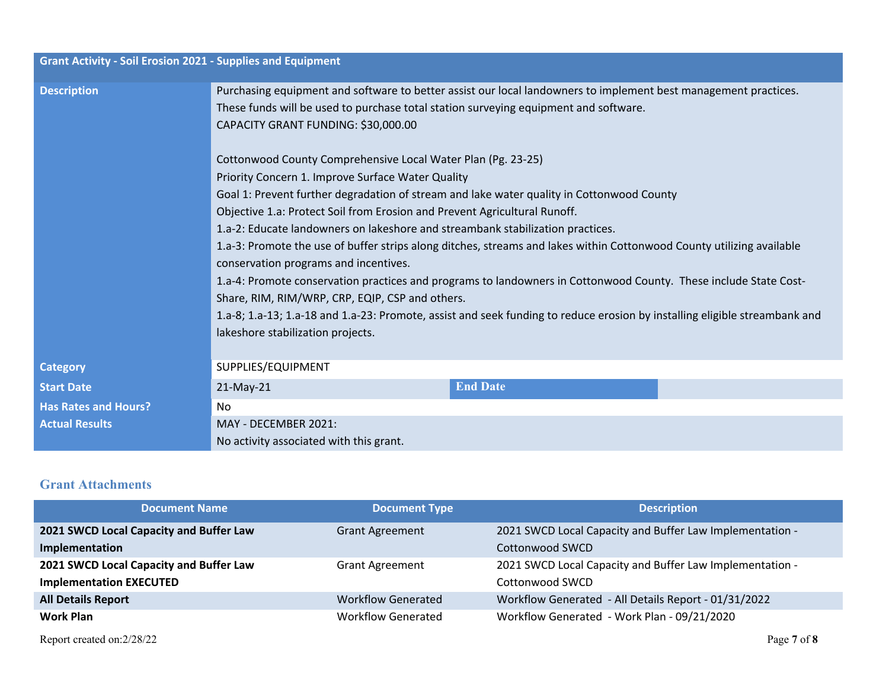| <b>Grant Activity - Soil Erosion 2021 - Supplies and Equipment</b> |                                                                                                                                                                                                                                                |  |  |  |  |  |
|--------------------------------------------------------------------|------------------------------------------------------------------------------------------------------------------------------------------------------------------------------------------------------------------------------------------------|--|--|--|--|--|
| <b>Description</b>                                                 | Purchasing equipment and software to better assist our local landowners to implement best management practices.<br>These funds will be used to purchase total station surveying equipment and software.<br>CAPACITY GRANT FUNDING: \$30,000.00 |  |  |  |  |  |
|                                                                    | Cottonwood County Comprehensive Local Water Plan (Pg. 23-25)<br>Priority Concern 1. Improve Surface Water Quality                                                                                                                              |  |  |  |  |  |
|                                                                    | Goal 1: Prevent further degradation of stream and lake water quality in Cottonwood County                                                                                                                                                      |  |  |  |  |  |
|                                                                    | Objective 1.a: Protect Soil from Erosion and Prevent Agricultural Runoff.                                                                                                                                                                      |  |  |  |  |  |
|                                                                    | 1.a-2: Educate landowners on lakeshore and streambank stabilization practices.                                                                                                                                                                 |  |  |  |  |  |
|                                                                    | 1.a-3: Promote the use of buffer strips along ditches, streams and lakes within Cottonwood County utilizing available<br>conservation programs and incentives.                                                                                 |  |  |  |  |  |
|                                                                    | 1.a-4: Promote conservation practices and programs to landowners in Cottonwood County. These include State Cost-                                                                                                                               |  |  |  |  |  |
|                                                                    | Share, RIM, RIM/WRP, CRP, EQIP, CSP and others.                                                                                                                                                                                                |  |  |  |  |  |
|                                                                    | 1.a-8; 1.a-13; 1.a-18 and 1.a-23: Promote, assist and seek funding to reduce erosion by installing eligible streambank and<br>lakeshore stabilization projects.                                                                                |  |  |  |  |  |
|                                                                    |                                                                                                                                                                                                                                                |  |  |  |  |  |
| <b>Category</b>                                                    | SUPPLIES/EQUIPMENT                                                                                                                                                                                                                             |  |  |  |  |  |
| <b>Start Date</b>                                                  | <b>End Date</b><br>$21$ -May-21                                                                                                                                                                                                                |  |  |  |  |  |
| <b>Has Rates and Hours?</b>                                        | No.                                                                                                                                                                                                                                            |  |  |  |  |  |
| <b>Actual Results</b>                                              | MAY - DECEMBER 2021:                                                                                                                                                                                                                           |  |  |  |  |  |
|                                                                    | No activity associated with this grant.                                                                                                                                                                                                        |  |  |  |  |  |

## **Grant Attachments**

| <b>Document Name</b>                    | <b>Document Type</b>      | <b>Description</b>                                       |
|-----------------------------------------|---------------------------|----------------------------------------------------------|
| 2021 SWCD Local Capacity and Buffer Law | <b>Grant Agreement</b>    | 2021 SWCD Local Capacity and Buffer Law Implementation - |
| Implementation                          |                           | Cottonwood SWCD                                          |
| 2021 SWCD Local Capacity and Buffer Law | <b>Grant Agreement</b>    | 2021 SWCD Local Capacity and Buffer Law Implementation - |
| <b>Implementation EXECUTED</b>          |                           | Cottonwood SWCD                                          |
| <b>All Details Report</b>               | <b>Workflow Generated</b> | Workflow Generated - All Details Report - 01/31/2022     |
| Work Plan                               | <b>Workflow Generated</b> | Workflow Generated - Work Plan - 09/21/2020              |

Report created on:2/28/22 Page **7** of **8**